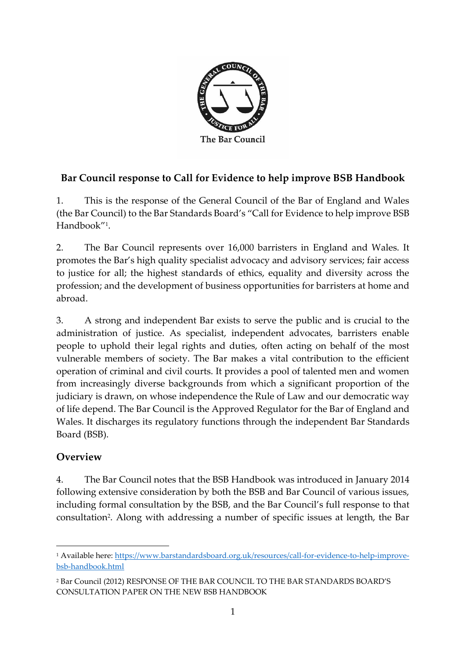

# **Bar Council response to Call for Evidence to help improve BSB Handbook**

1. This is the response of the General Council of the Bar of England and Wales (the Bar Council) to the Bar Standards Board's "Call for Evidence to help improve BSB Handbook"<sup>1</sup> .

2. The Bar Council represents over 16,000 barristers in England and Wales. It promotes the Bar's high quality specialist advocacy and advisory services; fair access to justice for all; the highest standards of ethics, equality and diversity across the profession; and the development of business opportunities for barristers at home and abroad.

3. A strong and independent Bar exists to serve the public and is crucial to the administration of justice. As specialist, independent advocates, barristers enable people to uphold their legal rights and duties, often acting on behalf of the most vulnerable members of society. The Bar makes a vital contribution to the efficient operation of criminal and civil courts. It provides a pool of talented men and women from increasingly diverse backgrounds from which a significant proportion of the judiciary is drawn, on whose independence the Rule of Law and our democratic way of life depend. The Bar Council is the Approved Regulator for the Bar of England and Wales. It discharges its regulatory functions through the independent Bar Standards Board (BSB).

### **Overview**

**.** 

4. The Bar Council notes that the BSB Handbook was introduced in January 2014 following extensive consideration by both the BSB and Bar Council of various issues, including formal consultation by the BSB, and the Bar Council's full response to that consultation<sup>2</sup> . Along with addressing a number of specific issues at length, the Bar

<sup>&</sup>lt;sup>1</sup> Available here: [https://www.barstandardsboard.org.uk/resources/call-for-evidence-to-help-improve](https://www.barstandardsboard.org.uk/resources/call-for-evidence-to-help-improve-bsb-handbook.html)[bsb-handbook.html](https://www.barstandardsboard.org.uk/resources/call-for-evidence-to-help-improve-bsb-handbook.html)

<sup>2</sup> Bar Council (2012) RESPONSE OF THE BAR COUNCIL TO THE BAR STANDARDS BOARD'S CONSULTATION PAPER ON THE NEW BSB HANDBOOK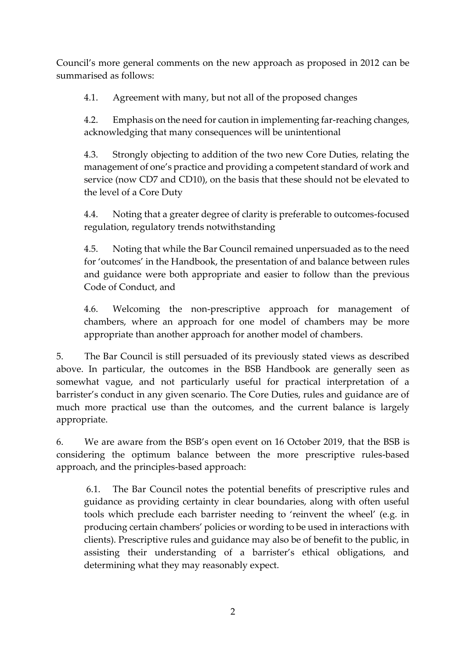Council's more general comments on the new approach as proposed in 2012 can be summarised as follows:

4.1. Agreement with many, but not all of the proposed changes

4.2. Emphasis on the need for caution in implementing far-reaching changes, acknowledging that many consequences will be unintentional

4.3. Strongly objecting to addition of the two new Core Duties, relating the management of one's practice and providing a competent standard of work and service (now CD7 and CD10), on the basis that these should not be elevated to the level of a Core Duty

4.4. Noting that a greater degree of clarity is preferable to outcomes-focused regulation, regulatory trends notwithstanding

4.5. Noting that while the Bar Council remained unpersuaded as to the need for 'outcomes' in the Handbook, the presentation of and balance between rules and guidance were both appropriate and easier to follow than the previous Code of Conduct, and

4.6. Welcoming the non-prescriptive approach for management of chambers, where an approach for one model of chambers may be more appropriate than another approach for another model of chambers.

5. The Bar Council is still persuaded of its previously stated views as described above. In particular, the outcomes in the BSB Handbook are generally seen as somewhat vague, and not particularly useful for practical interpretation of a barrister's conduct in any given scenario. The Core Duties, rules and guidance are of much more practical use than the outcomes, and the current balance is largely appropriate.

6. We are aware from the BSB's open event on 16 October 2019, that the BSB is considering the optimum balance between the more prescriptive rules-based approach, and the principles-based approach:

6.1. The Bar Council notes the potential benefits of prescriptive rules and guidance as providing certainty in clear boundaries, along with often useful tools which preclude each barrister needing to 'reinvent the wheel' (e.g. in producing certain chambers' policies or wording to be used in interactions with clients). Prescriptive rules and guidance may also be of benefit to the public, in assisting their understanding of a barrister's ethical obligations, and determining what they may reasonably expect.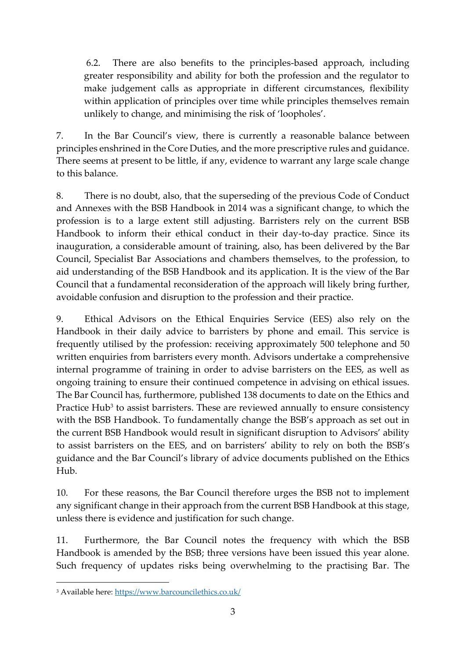6.2. There are also benefits to the principles-based approach, including greater responsibility and ability for both the profession and the regulator to make judgement calls as appropriate in different circumstances, flexibility within application of principles over time while principles themselves remain unlikely to change, and minimising the risk of 'loopholes'.

7. In the Bar Council's view, there is currently a reasonable balance between principles enshrined in the Core Duties, and the more prescriptive rules and guidance. There seems at present to be little, if any, evidence to warrant any large scale change to this balance.

8. There is no doubt, also, that the superseding of the previous Code of Conduct and Annexes with the BSB Handbook in 2014 was a significant change, to which the profession is to a large extent still adjusting. Barristers rely on the current BSB Handbook to inform their ethical conduct in their day-to-day practice. Since its inauguration, a considerable amount of training, also, has been delivered by the Bar Council, Specialist Bar Associations and chambers themselves, to the profession, to aid understanding of the BSB Handbook and its application. It is the view of the Bar Council that a fundamental reconsideration of the approach will likely bring further, avoidable confusion and disruption to the profession and their practice.

9. Ethical Advisors on the Ethical Enquiries Service (EES) also rely on the Handbook in their daily advice to barristers by phone and email. This service is frequently utilised by the profession: receiving approximately 500 telephone and 50 written enquiries from barristers every month. Advisors undertake a comprehensive internal programme of training in order to advise barristers on the EES, as well as ongoing training to ensure their continued competence in advising on ethical issues. The Bar Council has, furthermore, published 138 documents to date on the Ethics and Practice Hub<sup>3</sup> to assist barristers. These are reviewed annually to ensure consistency with the BSB Handbook. To fundamentally change the BSB's approach as set out in the current BSB Handbook would result in significant disruption to Advisors' ability to assist barristers on the EES, and on barristers' ability to rely on both the BSB's guidance and the Bar Council's library of advice documents published on the Ethics Hub.

10. For these reasons, the Bar Council therefore urges the BSB not to implement any significant change in their approach from the current BSB Handbook at this stage, unless there is evidence and justification for such change.

11. Furthermore, the Bar Council notes the frequency with which the BSB Handbook is amended by the BSB; three versions have been issued this year alone. Such frequency of updates risks being overwhelming to the practising Bar. The

 $\overline{a}$ 

<sup>3</sup> Available here:<https://www.barcouncilethics.co.uk/>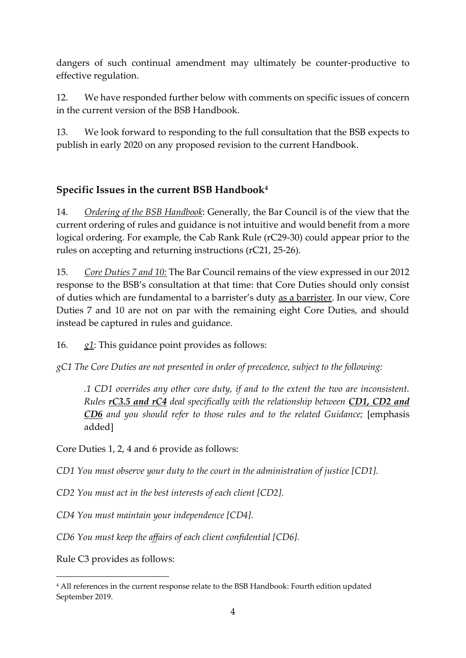dangers of such continual amendment may ultimately be counter-productive to effective regulation.

12. We have responded further below with comments on specific issues of concern in the current version of the BSB Handbook.

13. We look forward to responding to the full consultation that the BSB expects to publish in early 2020 on any proposed revision to the current Handbook.

# **Specific Issues in the current BSB Handbook<sup>4</sup>**

14. *Ordering of the BSB Handbook*: Generally, the Bar Council is of the view that the current ordering of rules and guidance is not intuitive and would benefit from a more logical ordering. For example, the Cab Rank Rule (rC29-30) could appear prior to the rules on accepting and returning instructions (rC21, 25-26).

15. *Core Duties 7 and 10:* The Bar Council remains of the view expressed in our 2012 response to the BSB's consultation at that time: that Core Duties should only consist of duties which are fundamental to a barrister's duty as a barrister. In our view, Core Duties 7 and 10 are not on par with the remaining eight Core Duties, and should instead be captured in rules and guidance.

16. *g1*: This guidance point provides as follows:

*gC1 The Core Duties are not presented in order of precedence, subject to the following:*

*.1 CD1 overrides any other core duty, if and to the extent the two are inconsistent. Rules rC3.5 and rC4 deal specifically with the relationship between CD1, CD2 and CD6 and you should refer to those rules and to the related Guidance;* [emphasis added]

Core Duties 1, 2, 4 and 6 provide as follows:

*CD1 You must observe your duty to the court in the administration of justice [CD1].*

*CD2 You must act in the best interests of each client [CD2].*

*CD4 You must maintain your independence [CD4].*

*CD6 You must keep the affairs of each client confidential [CD6].*

Rule C3 provides as follows:

**.** 

<sup>4</sup> All references in the current response relate to the BSB Handbook: Fourth edition updated September 2019.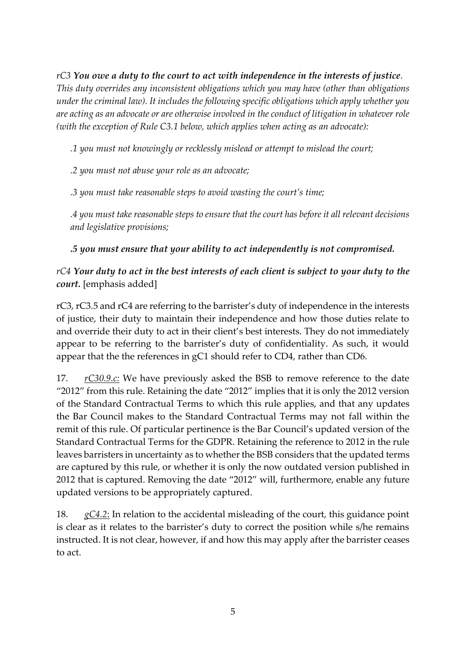*rC3 You owe a duty to the court to act with independence in the interests of justice. This duty overrides any inconsistent obligations which you may have (other than obligations under the criminal law). It includes the following specific obligations which apply whether you are acting as an advocate or are otherwise involved in the conduct of litigation in whatever role (with the exception of Rule C3.1 below, which applies when acting as an advocate):*

*.1 you must not knowingly or recklessly mislead or attempt to mislead the court;*

*.2 you must not abuse your role as an advocate;*

*.3 you must take reasonable steps to avoid wasting the court's time;*

*.4 you must take reasonable steps to ensure that the court has before it all relevant decisions and legislative provisions;*

#### *.5 you must ensure that your ability to act independently is not compromised.*

#### *rC4 Your duty to act in the best interests of each client is subject to your duty to the court.* [emphasis added]

rC3, rC3.5 and rC4 are referring to the barrister's duty of independence in the interests of justice, their duty to maintain their independence and how those duties relate to and override their duty to act in their client's best interests. They do not immediately appear to be referring to the barrister's duty of confidentiality. As such, it would appear that the the references in gC1 should refer to CD4, rather than CD6.

17. *rC30.9.c:* We have previously asked the BSB to remove reference to the date "2012" from this rule. Retaining the date "2012" implies that it is only the 2012 version of the Standard Contractual Terms to which this rule applies, and that any updates the Bar Council makes to the Standard Contractual Terms may not fall within the remit of this rule. Of particular pertinence is the Bar Council's updated version of the Standard Contractual Terms for the GDPR. Retaining the reference to 2012 in the rule leaves barristers in uncertainty as to whether the BSB considers that the updated terms are captured by this rule, or whether it is only the now outdated version published in 2012 that is captured. Removing the date "2012" will, furthermore, enable any future updated versions to be appropriately captured.

18. *gC4.2*: In relation to the accidental misleading of the court, this guidance point is clear as it relates to the barrister's duty to correct the position while s/he remains instructed. It is not clear, however, if and how this may apply after the barrister ceases to act.